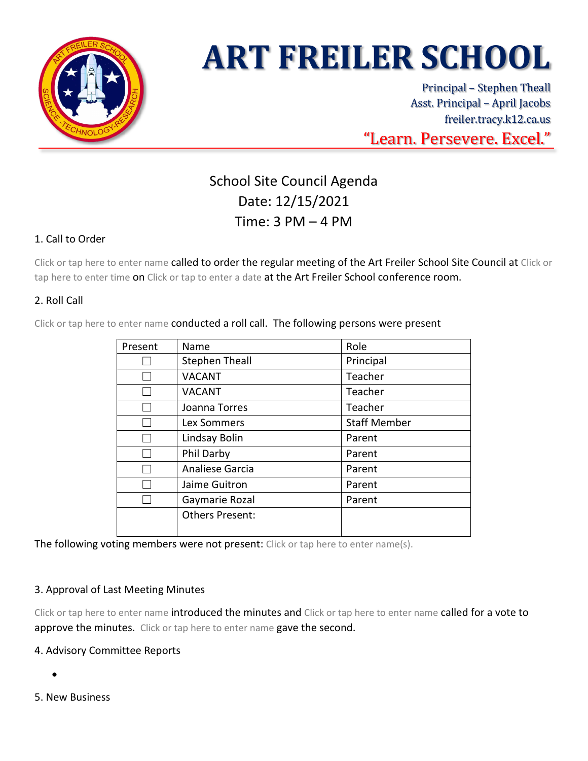

# **ART FREILER SCHOOL**

Principal – Stephen Theall Asst. Principal – April Jacobs freiler.tracy.k12.ca.us "Learn. Persevere. Excel."

# School Site Council Agenda Date: 12/15/2021 Time: 3 PM – 4 PM

# 1. Call to Order

Click or tap here to enter name called to order the regular meeting of the Art Freiler School Site Council at Click or tap here to enter time on Click or tap to enter a date at the Art Freiler School conference room.

# 2. Roll Call

Click or tap here to enter name conducted a roll call. The following persons were present

| Present | Name                   | Role                |
|---------|------------------------|---------------------|
|         | <b>Stephen Theall</b>  | Principal           |
|         | <b>VACANT</b>          | Teacher             |
|         | <b>VACANT</b>          | Teacher             |
|         | Joanna Torres          | Teacher             |
|         | Lex Sommers            | <b>Staff Member</b> |
|         | Lindsay Bolin          | Parent              |
|         | Phil Darby             | Parent              |
|         | Analiese Garcia        | Parent              |
|         | Jaime Guitron          | Parent              |
|         | Gaymarie Rozal         | Parent              |
|         | <b>Others Present:</b> |                     |
|         |                        |                     |

The following voting members were not present: Click or tap here to enter name(s).

### 3. Approval of Last Meeting Minutes

Click or tap here to enter name introduced the minutes and Click or tap here to enter name called for a vote to approve the minutes. Click or tap here to enter name gave the second.

### 4. Advisory Committee Reports

- •
- 5. New Business